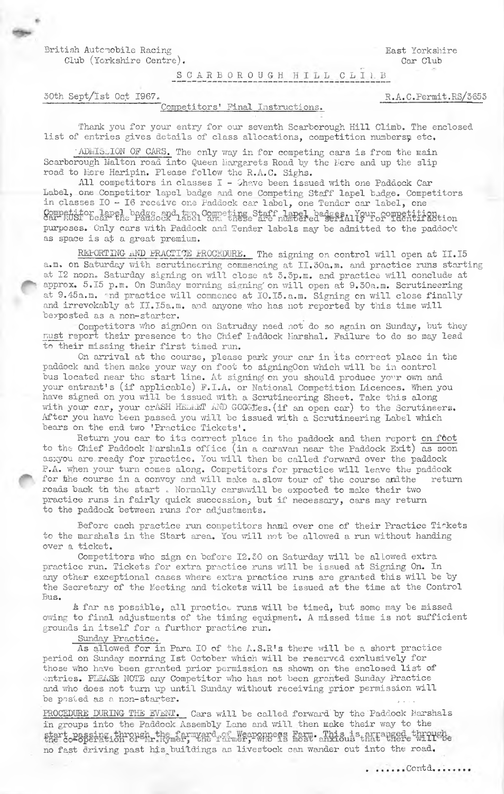British Automobile Racing Club (Yorkshire Centre). East Yorkshire Car Club

R.A.C.Permit.RS/3653

SCARBOROUGH HILL CLIAB

30th Sept/Ist Oct 1967.

#### Competitors' Final Instructions.

Thank you for your entry for our seventh Scarborough Hill Climb. The enclosed list of entries gives details of class allocations, competition numbers; etc.

ADMISSION OF CARS. The only way in for competing cars is from the main Scarborough Malton road into Queen Margarets Road by the Mere and up the slip road to Mere Haripin. Please follow the R.A.C. Sighs.

All competitors in classes I - Shave been issued with one Paddock Car Label, one Competitor lapel badge and one Competing Staff lapel badge. Competitors in classes IO - I6 receive one Paddock car label, one Tender car label, one Competitor lapel badge and two Competing Staff lapel badges, Your competition to purposes. Only cars with Paddock and Tender labels may be admitted to the paddock as space is at a great premium.

REFORTING AND PRACTICE FROCEDURE. The signing on control will open at II.I5 a.m. on Saturday with scrutineering commencing at II.30a.m. and practice runs starting at I2 noon. Saturday signing on will close at 3.3p.m. and practice will conclude at approx. 5.15 p.m. On Sunday morning signing on will open at 9.30a.m. Scrutineering at 9.45a.m. Ind practice will commence at IO.I5.a.m. Signing on will close finally and irrevokably at II.I5a.m. and anyone who has not reported by this time will bexposted as a non-starter.

Competitors who signOon on Satruday need not do so again on Sunday, but they must report their presence to the Chief Faddock Marshal. Failure to do so may lead to their missing their first timed run.

On arrival at the course, please park your car in its correct place in the paddock and then make your way on foot to signingOon which will be in control bus located near the start line. At signing on you should produce your own and your entrant's (if applicable) F.I.A. or National Competition Licences. When you have signed on you will be issued with a Scrutineering Sheet. Take this along<br>with your car, your crASH HELMET AND GOGGLES. (if an open car) to the Scrutineers.<br>After you have been passed you will be issued with a Scrutine bears on the end two 'Practice Tickets'.

Return you car to its correct place in the paddock and then report on foot to the Chief Paddock larshals office (in a caravan near the Paddock Exit) as soon asxyou are ready for practice. You will then be called forward over the paddock P.A. when your turn comes along. Competitors for practice will leave the paddock for the course in a convoy and will make a slow tour of the course and the return roads back th the start. Normally carswwill be expected to make their two practice runs in fairly quick succession, but if necessary, cars may return to the paddock between runs for adjustments.

Before each practice run competitors hamd over one of their Practice Tiskets to the marshals in the Start area. You will not be allowed a run without handing over a ticket.

Competitors who sign on before I2.30 on Saturday will be allowed extra practice run. Tickets for extra practice runs will be issued at Signing On. In any other exceptional cases where extra practice runs are granted this will be by the Secretary of the Meeting and tickets will be issued at the time at the Control Bus.

& far as possible, all practice runs will be timed, but some may be missed owing to final adjustments of the timing equipment. A missed time is not sufficient grounds in itself for a further practice run.

Sunday Practice.

As allowed for in Para IO of the A.S.R's there will be a short practice period on Sunday morning Ist October which will be reserved exclusively for those who have been granted prior permission as shown on the enclosed list of entries. PLEASE NOTE any Competitor who has not been granted Sunday Practice and who does not turn up until Sunday without receiving prior permission will be posted as a non-starter.

PROCEDURE DURING THE EVENT. Cars will be called forward by the Paddock Marshals in groups into the Paddock Assembly Lane and will then make their way to the the conservation of the farmyard of Weaponness Farm. This is arranged through no fast driving past his buildings as livestock can wander out into the road.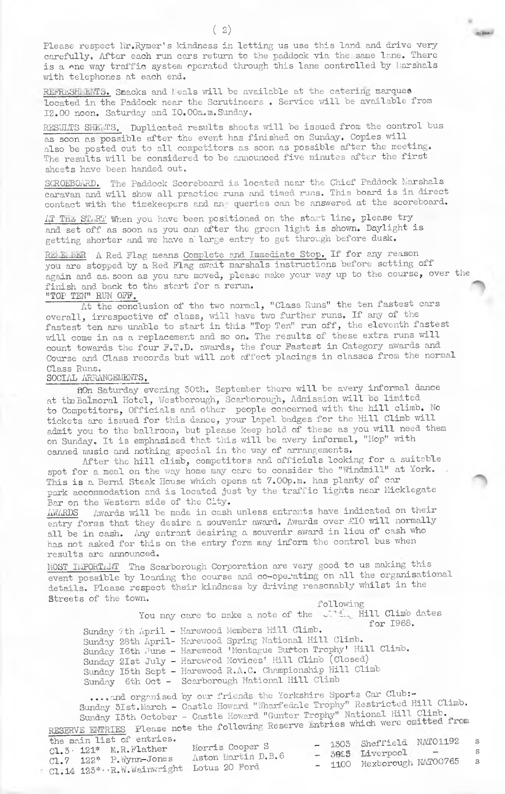Please respect Hr.Rymer's kindness in letting us use this land and drive very carefully. After each run cars return to the paddock via the; same lane. There is a one way traffic system operated through this lane controlled by Marshals with telephones at each end.

**Achieve** 

REFRESHLENTS. Smacks and Meals will be available at the catering marquee located in the Paddock near the Scrutineers . Service viill be available from 12.00 noon. Saturday amd IO.00a.m. Sunday.

RESULTS SHEETS. Duplicated results sheets will be issued from the control bus as soon as possible after the event has finished on Sunday. Copies will also be posted out to all competitors as soon as possible after the meeting. The results will be considered to be announced five minutes after the first sheets have been handed out.

SCROEBOARD. The Paddock Scoreboard is located near the Chief Paddock Marshals caravan and viill show all practice runs and timed runs. This board is in direct contact with the timekeepers and an ' queries can be answered at the scoreboard.

II THE STIRT When you have been positioned on the start line, please try and set off as soon as you can after the green light is shown. Daylight is getting shorter and we have a large entry to get through before dusk.

RELEMBER A Red Flag means Complete and Immediate Stop. If for any reason you are stopped by a Red Flag await marshals instructions before setting off again and as, soon as you are moved, please make your way up to the course, over the finish and back to the start for a rerun. "TOP TEN" RUN OFF.

At the conclusion of the two normal, "Class Runs" the ten fastest cars overall, irrespective of class, will have two further runs. If any of the fastest ten are unable to start in this "Top Ten" run off, the eleventh fastest will come in as a replacement and so on. The results of these extra runs will count towards the four F.T.D. awards, the four Fastest in Category awards and Course and Class records but will not affect placings in classes from the normal Class Runs.

### SOCIAL ARRANGEMENTS.

flOn Saturday evening 50th. September there will be avery informal dance at the Balmoral Hotel, Westborough, Scarborough, Admission will be limited to Competitors, Officials and other people concerned with the hill climb. No tickets are issued for this dance, your lapel badges for the Hill Climb will admit you to the ballroom, but please keep hold of these as you will need them on Sunday. It is emphasised that this will be avery informal, "Hop" with canned music and nothing special in the way of arrangements.

After the hill climb, competitors and officials looking for a suitable spot for a meal on the way home may care to consider the "Windmill" at York. This is a Bemi Steak House which opens at 7.00p.m. has planty of car park accommodation and is located just by the traffic lights near Micklegate Bar on the Western side of the City.

 $\overline{\text{AWARDS}}$  Awards will be made in cash unless entrants have indicated on their entry forms that they desire a souvenir award. Awards over £10 will normally all be in cash. Any entrant desiring a souvenir award in lieu of cash who has not asked for this on the entry form may inform the control bus when results are announced.

**IIOST ILIPORTIAT** The Scarborough Corporation are very good to us making this event possible by loaning the course and co-operating on all the organisational details. Please respect their kindness by driving reasonably whilst in the Streets of the town. Tollowing

You may care to make a note of the will. Hill Climb dates for 1968. Sunday 7th April - Harewood Members Hill Climb. Sunday 28th April- Haxev/ood Spring National Hill Climb. ^ Sunday I6th June - Harewood 'Montague Burton Trophy' Hill Climb. Sunday 21st July - Harewcod Novices' Hill Climb (closed) Sunday I5th Sept - Harewood R.A.G. Championship Hill Climb Sunday 6th Oct - Scarborough National Hill Climb

..., and organised by our friends the Yorkshire Sports Car Club:-Sunday 3Ist.March - Castle Howard "Wharfedale Trophy" Restricted Hill Climb. Sunday I5th October - Castle Howard "Gunter Trophy" National Hill Climb. RESERVE EITORIES Please note the following Reserve Entries which were omi

| the main list of entries.<br>$C1.5 \cdot 121*$ M.R.Flather<br>$CL.7$ $122*$ $P.$ Wynn-Jones<br>Cl.14 123* R.W. Wainwright Lotus 20 Ford | Morris Cooper S<br>Aston Martin D.B.6 |  | - 1303 Sheffield NATO1192 s<br>$-$ 3095 Liverpool $-$<br>- 1100 Mexborough NATO0765 | - S |
|-----------------------------------------------------------------------------------------------------------------------------------------|---------------------------------------|--|-------------------------------------------------------------------------------------|-----|
|                                                                                                                                         |                                       |  |                                                                                     |     |

 $(2)$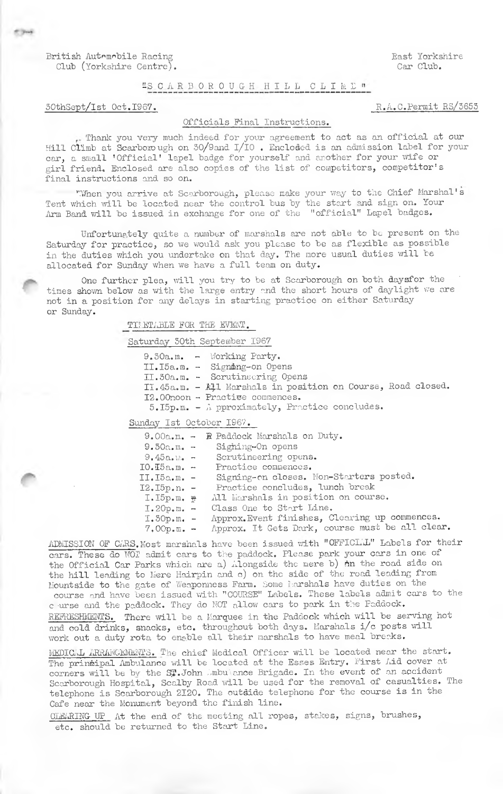British Automobile Racing (East Yorkshire Club) (East Yorkshire Club) (East Yorkshire Club) (East Yorkshire Club) Club (Yorkshire Centre).

## "S CARBOROUGH HILL CLIME"

# 50thSept/Ist Oct.1967. R.A.C.Permit RS/5655

### Officials Final Instructions.

Thanlc you very much inde&d for yotir agreement to act as an official at our Hill Climb at Scarboiough on 50/9and l/lO . Enclosed is an admission label for your car, a small 'Official' lapel badge for yourself and another for your wife or girl friend. Enclosed are also copies of the list of competitors, competitor' s final instructions and so on.

"When you arrive at Scarborough, please make your way to the Chief Marshal's Tent which will be located near the control bus by the start and sign on. Your Arm Band will be issued in exchange for one of the "official" Lapel badges.

Unfortunately quite a number of marshals are not able to be present on the Saturday for practice, so we would ask you please to be as flexible as possible in the duties which you undertake on that day. The more usual duties will be allocated for Sunday when we have a full team on duty.

One further plea, will you try to be at Scarborough on both daysfor the times shown below as with the large entry and the short hours of daylight we are not in a position for any delays in starting practice on either Saturday or Sunday.

TI;.ETABLE FOR THE EVIENT.

Saturday 50th September 1967

9.30a.m. - Working Party. 11.15a.m. - Signmng-on Opens 11.50a.m. - Scrutinecring Opens II.45a.m. - All Marshals in position on Course, Road closed.

- 
- I2.00noon Practise commences.
	- $5.15p.m. A proximately, Practice concludes.$

Sunday 1st October 1967.

|                    | $9.00a.m. - R$ Paddock Marshals on Duty.       |
|--------------------|------------------------------------------------|
| $9.50a.m. -$       | Sighing-On opens                               |
|                    | $9.45a.$ $\ldots$ Scrutineering opens.         |
| $IO.$ $I5a.m.$ $-$ | Practice commences.                            |
| $II, I5a.m. -$     | Signing-on closes. Non-Starters posted.        |
|                    | I2. I5p.n. - Practice concludes, lunch break   |
| $I.D.$ ID. $R$     | All Morshals in position on course.            |
| $I.20p.m. -$       | Class One to Start Line.                       |
| $I.50p.m. -$       | Approx. Event finishes, Clearing up commences. |
| $7.00 p.m. -$      | Approx. It Gets Dark, course must be all clear |
|                    |                                                |

ADMISSION OF CARS. Most marshals have been issued with "OFFICLAL" Labels for their cars. These do WO? admit cars to the paddock. Please park your cars in one of the Official Car Parks which are a) Alongside the mere b) in the road side on the hill leading to Mere Hairpin and c) on the side of the road leading from Mountside to the gate of Weaponness Farm. Some larshals have duties on the course and have been issued with "COURSE" Labels. These labels admit cars to the c'urse and the paddock. They do MOT allow cars to park in the Paddock. REFRESHMENTS. There will be a Marquee in the Paddock which will be serving hot and cold drinks, snacks, etc. throughout both days. Marshals i/c posts will work out a duty rota to enable all their marshals to have meal breaks.

MEDICLL ARRANGEMENTS. The chief Medical Officer will be located near the start. The principal Ambulance will be located at the Esses Entry. First Aid cover at corners will be by the  $\texttt{S}\pmb{\mathfrak{x}}$ .John ;mbu'ance Brigade. In the event of an accident Scarborough Hospital, Scalby Road will be used for the removal of casualties. The telephone is Scarborough 2120. The outdide telephone for the course is in the Cafe near the Monument beyond the finish line.

CLEARING UP At the end of the meeting all ropes, stakes, signs, brushes, etc, should be returned to the Start Line.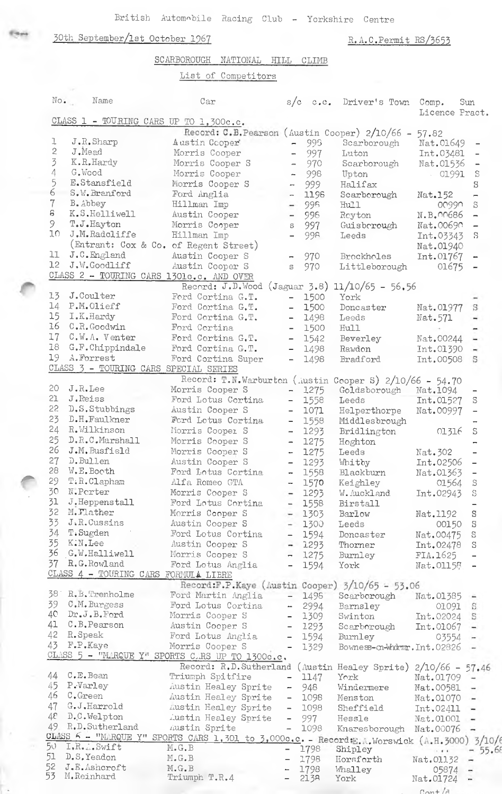British Automobile Racing Club - Yorkshire Centre

# 30th September/1st October 1967

R.A.C.Permit RS/3653

 $M_{\rm{out}}$ 

|          |                                          | SCARBOROUGH<br>NATIONAL<br>HILL                                                             |                              | CLIMB                         |                                          |                |                                                       |
|----------|------------------------------------------|---------------------------------------------------------------------------------------------|------------------------------|-------------------------------|------------------------------------------|----------------|-------------------------------------------------------|
|          |                                          | List of Competitors                                                                         |                              |                               |                                          |                |                                                       |
| No.      | Name                                     | Car                                                                                         | s/c                          | $\mathbb{C}$ , $\mathbb{C}$ , | Driver's Town                            | Comp.          | Sun                                                   |
|          | CLASS 1 - TOURING CARS UP TO 1,300c.c.   |                                                                                             |                              |                               |                                          | Licence Pract. |                                                       |
|          |                                          | Record: C.B. Pearson (Austin Cooper) 2/10/66 -                                              |                              |                               |                                          | 57.82          |                                                       |
| ı        | J.R.Sharp                                | Austin Cooper                                                                               | $\sim$                       | 996                           | Scarborough                              | Nat.01649      |                                                       |
| 2        | J.Mead                                   | Morris Cooper                                                                               | $\overline{\phantom{a}}$     | 997                           | Luton                                    | Int.03481      |                                                       |
| 3        | K.R.Hardy                                | Morris Cooper S                                                                             | ÷,                           | 970                           | Scarborough                              | Nat.01536      |                                                       |
| 4        | G.Wood                                   | Morris Cooper                                                                               |                              | 998                           | Upton                                    | 01991          | $\mathbb{S}$                                          |
| 5        | E.Stansfield                             | Morris Cooper S                                                                             |                              | 999                           | Halifax                                  |                | S                                                     |
| 6        | S.W. Branford                            | Ford Anglia                                                                                 | $\rightarrow$                | 1198                          | Scarborough                              | Nat.152        | -                                                     |
| 7        | B. Abbey                                 | Hillman Imp                                                                                 |                              | 99 <sub>B</sub>               | Hull                                     | 00990          | S                                                     |
| 8        | K.S.Helliwell                            | Austin Cooper                                                                               |                              | 996                           | Reyton                                   | N.B.00686      |                                                       |
| 9.       | T.J.Hayton                               | Morris Cooper                                                                               | S                            | 997                           | Guisberough                              | Nat.00690      |                                                       |
| 10       | J.M.Radcliffe                            | Hillman Imp                                                                                 |                              | 99 <sub>R</sub>               | Leeds                                    | Int.03343      | S                                                     |
|          |                                          | (Entrant: Cox & Co. of Regent Street)                                                       |                              |                               |                                          | Nat.01940      |                                                       |
| 11       | J.C.England                              | Austin Cooper S                                                                             |                              | 970                           | <b>Brockholes</b>                        | Int.01767      |                                                       |
| 12       | J.W.Goodliff                             | Austin Cooper S                                                                             | S                            | 970                           | Littleborough                            | 01675          |                                                       |
|          | CLASS 2 - TOURING CARS 1301c.c. AND OVER |                                                                                             |                              |                               |                                          |                |                                                       |
|          |                                          | Record: $J.D.Wood$ (Jaguar 3.8) 11/10/65 - 56.56                                            |                              |                               |                                          |                |                                                       |
| 13       | J.Coulter                                | Ford Cortina G.T.                                                                           | $\qquad \qquad -$            | 1500                          | York                                     |                |                                                       |
| 14       | P.M.Olieff                               | Ford Cortina G.T.                                                                           | $\qquad \qquad -$            | 1500                          | Doncaster                                | Nat.01977      | S                                                     |
| 15       | I.K.Hardy                                | Ford Cortina G.T.                                                                           | $\qquad \qquad \blacksquare$ | 1498                          | Leeds                                    | Nat.571        |                                                       |
| 16       | C.R. Goodwin                             | Ford Cortina                                                                                | $\overline{\phantom{0}}$     | 1500                          | Hull                                     |                |                                                       |
| 17       | $C.W.A.$ Venter                          | Ford Cortina G.T.                                                                           | $\qquad \qquad -$            | 1542                          | Beverley                                 | Nat.00244      |                                                       |
| 18       | G.F.Chippindale                          | Ford Cortina G.T.                                                                           | $\overline{\phantom{0}}$     | 1498                          | Rawdon                                   | Int.01390      | ÷                                                     |
| 19       | A. Forrest                               | Ford Cortina Super                                                                          | $\overline{\phantom{0}}$     | 1498                          | Bradford                                 | Int.00508      | S                                                     |
|          | CLASS 3 - TOURING CARS SPECIAL SERIES    |                                                                                             |                              |                               |                                          |                |                                                       |
|          |                                          | Record: T.N.Warburton (Austin Cooper S) 2/10/66 - 54.70                                     |                              |                               |                                          |                |                                                       |
| 20       | J.R.Lee                                  | Morris Cooper S                                                                             | $\overline{\phantom{a}}$     | 1275                          | Goldsborough                             | Nat.1094       |                                                       |
| 21       | J.Reiss                                  | Ford Lotus Cortina                                                                          | $-$                          | 1558                          | Leeds                                    | Int.01527      | S                                                     |
| 22       | D.S.Stubbings                            | Austin Cooper S                                                                             | $\sim$                       | 1071                          | Helperthorpe                             | Nat.00997      |                                                       |
| 23       | D.H.Faulkner                             | Ford Lotus Cortina                                                                          | $\overline{\phantom{0}}$     | 1558                          | Middlesbrough                            |                |                                                       |
| 24       | R.Wilkinson                              | Morris Cooper S                                                                             | -                            | 1293                          | Bridlington                              | 01316          | S                                                     |
| 25       | D.R.C.Marshall                           | Morris Cooper S                                                                             | $\sim$                       | 1275                          | Hoghton                                  |                |                                                       |
| 26       | J.M.Busfield                             | Morris Cooper S                                                                             | $\overline{\phantom{a}}$     | 1275                          | Leeds                                    | Nat. 302       |                                                       |
| 27<br>28 | D.Bullen                                 | Austin Cooper S                                                                             | $\qquad \qquad -$            | 1293                          | Whitby                                   | Int.02506      |                                                       |
| 29       | W.E.Booth                                | Ford Lotus Cortina                                                                          |                              | $-1558$                       | <b>Blackburn</b>                         | Nat.01363      |                                                       |
| 30       | T.R.Clapham<br>N.Porter                  | Alfa Romeo GTA                                                                              |                              | $-1570$                       | Keighley                                 | 01564          | S                                                     |
| 31       |                                          | Morris Cooper S                                                                             | $\overline{\phantom{a}}$     | 1293                          | W. Auckland                              | Int.02943      | S                                                     |
| 32       | J.Heppenstall<br>M. Mather               | Ford Lotus Cortina                                                                          |                              | $-1558$                       | Birstall                                 |                |                                                       |
| 33       | J.R.Cussins                              | Morris Cooper S                                                                             |                              | $-1303$                       | Barlow                                   | Nat.1192       | S                                                     |
| 34       | T.Sugden                                 | Austin Cooper S<br>Ford Lotus Cortina                                                       |                              | $-1300$                       | Leeds                                    | 00150          | S                                                     |
| 35       | K.N.Lee                                  | Austin Cooper S                                                                             |                              | $-1594$                       | Doncaster                                | Nat.00475      | S                                                     |
| 36       | G.W.Halliwell                            | Morris Cooper S                                                                             |                              | $- 1293$                      | Thorner                                  | Int.02478      | S                                                     |
| 37       | R.G.Rowland                              | Ford Lotus Anglia                                                                           | $-$                          | $-1275$<br>1594               | Burnley<br>York                          | FIA.1625       |                                                       |
|          | CLASS 4 - TOURING CARS FORMULA LIBRE     |                                                                                             |                              |                               |                                          | Nat.01158      |                                                       |
|          |                                          | Record:F.P.Kaye (Austin Cooper) $3/10/65 - 53.06$                                           |                              |                               |                                          |                |                                                       |
| 381      | R.B.Trenholme                            | Ford Martin Anglia                                                                          | $\overline{\phantom{a}}$     | 1498                          | Scarborough                              | Nat.01385      |                                                       |
| 39       | C.M. Burgess                             | Ford Lotus Cortina                                                                          | $\mathbf{a}$                 | 2994                          | Barnsley                                 | 01091          | $\mathbf{S}% _{T}=\mathbf{S}_{T}\times\mathbf{S}_{T}$ |
| 40       | Dr.J.B.Ford                              | Morris Cooper S                                                                             | $\blacksquare$               | 1309                          | Swinton                                  | Int.02024      | S                                                     |
| 41       | C.B.Pearson                              | Austin Cooper S                                                                             |                              | $-1293$                       | Scarborough                              | Int.01067      | -                                                     |
| 42       | R. Speak                                 | Ford Lotus Anglia                                                                           |                              | $-1594$                       | Burnley                                  | 03554          |                                                       |
| 43       | F.P.Kaye                                 | Morris Cooper S                                                                             |                              | 1329                          | Bowness-cn-Whdmmr. Int.02826             |                |                                                       |
|          |                                          | CLASS 5 - "MIRQUE Y" SPORTS CARS UP TO 1300c.c.                                             |                              |                               |                                          |                |                                                       |
|          |                                          | Record: R.D. Sutherland                                                                     |                              |                               | (Austin Healey Sprite) $2/10/66 - 57.46$ |                |                                                       |
| 44       | C.E.Bean                                 | Triumph Spitfire                                                                            | $\overline{\phantom{0}}$     | 1147                          | York                                     | Nat.01709      | $\overline{\phantom{a}}$                              |
| 45       | P.Varley                                 | Austin Healey Sprite                                                                        |                              | $-948$                        | Windermere                               | Nat.00581      | -                                                     |
| 46       | C.Green                                  | Austin Healey Sprite                                                                        |                              | $-1098$                       | Menston                                  | Nat.01070      |                                                       |
| 47       | G.J.Harrold                              | <b>Lustin Healey Sprite</b>                                                                 |                              | $-1098$                       | Sheffield                                | Int.02411      | $\rightarrow$                                         |
| 48       | D.C.Welpton                              | Austin Healey Sprite                                                                        | $\overline{\phantom{a}}$     | 997                           | Hessle                                   | Nat.01001      |                                                       |
| 49       | R.D.Sutherland                           | Austin Sprite                                                                               | $\overline{\phantom{0}}$     | 1098                          | Knaresborough Nat.00076                  |                |                                                       |
|          |                                          | CLASS 6 - "MARQUE Y" SPORTS CARS 1,301 to 3,000c.c. - Record E.A. Worswick (A.H.3000) 3/10/ |                              |                               |                                          |                |                                                       |
| 50.      | I.R. . Swift                             | $M_{\bullet} G_{\bullet} B$                                                                 |                              | 1798                          | Shipley                                  |                | 55.6                                                  |
| 51       | D.S.Yeadon                               | $M$ . G. B                                                                                  |                              | 1798                          | Horsforth                                | Nat.01132      | ÷                                                     |
| 52       | J.E.Ashcroft                             | M.G.B                                                                                       |                              | 1798                          | Whalley                                  | 05874          | ÷                                                     |
|          | 53 M.Reinhard                            | Triumph T.R.4                                                                               |                              | 213 <sub>8</sub>              | York                                     | Nat.01724      | -                                                     |